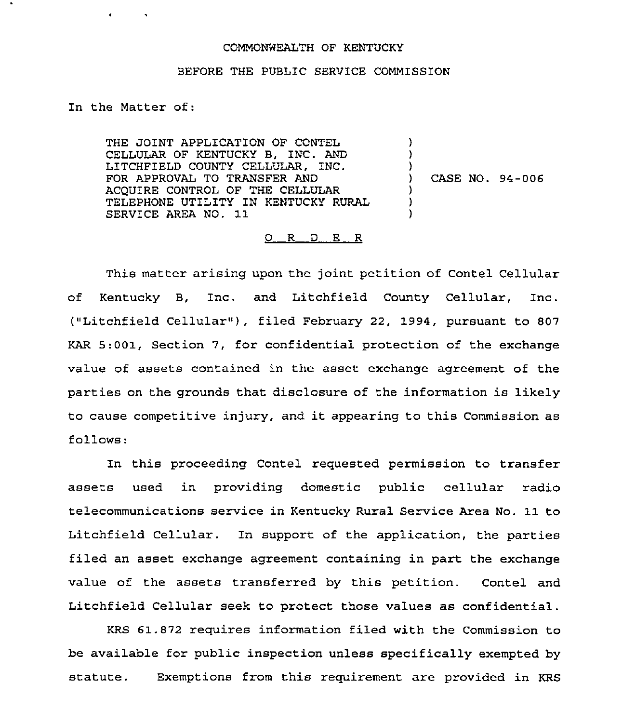## COMMONWEALTH OF KENTUCKY

## BEFORE THE PUBLIC SERVICE COMMISSION

In the Matter of:

**Contractor** 

THE JOINT APPLICATION OF CONTEL CELLULAR OF KENTUCKY B, INC. AND LITCHFIELD COUNTY CELLULAR, INC. FOR APPROVAL TO TRANSFER AND ACQUIRE CONTROL OF THE CELLULAR TELEPHONE UTILITY IN KENTUCKY RURAL SERVICE AREA NO. 11

) CASE NO. 94-006

) ) )

> ) ) )

## $O$  R  $D$  E R

This matter arising upon the joint petition of Contel Cellular of Kentucky B, Inc. and Litchfield County Cellular, Inc. ("Litchfield Cellular" ), filed February 22, 1994, pursuant to <sup>807</sup> KAR 5:001, Section 7, for confidential protection of the exchange value of assets contained in the asset exchange agreement of the parties on the grounds that disclosure of the information is likely to cause competitive injury, and it appearing to this Commission as follows:

In this proceeding Contel requested permission to transfer assets used in providing domestic public cellular radio telecommunications service in Kentucky Rural Service Area No. 11 to Litchfield Cellular. In support of the application, the parties filed an asset exchange agreement containing in part the exchange value of the assets transferred by this petition. Contel and Litchfield Cellular seek to protect those values as confidential.

KRS 61.872 requires information filed with the Commission to be available for public inspection unless specifically exempted by statute. Exemptions from this requirement are provided in KRS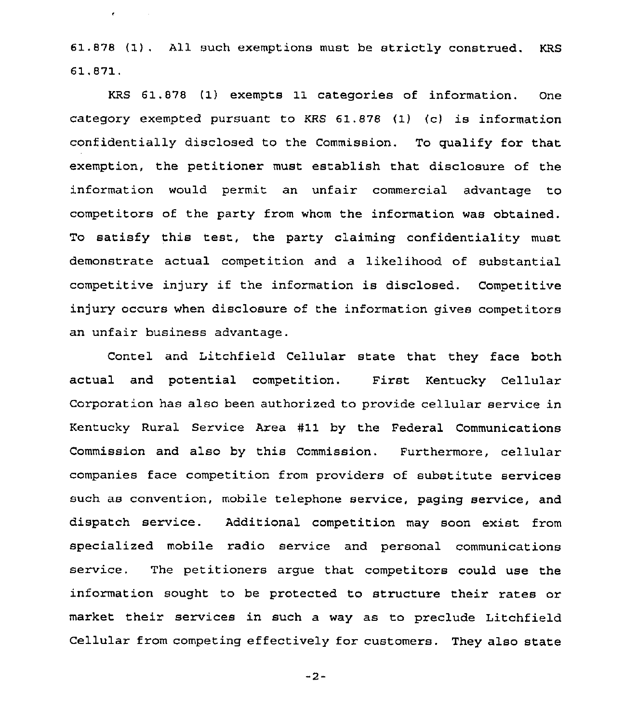61.878 {1). All such exemptions must be strictly construed. KRS 61.871.

 $\pmb{\epsilon}$  , and  $\mathbf{r}$  , and

KRS 61.878 (1) exempts 11 categories of information. One category exempted pursuant to KRS 61.878 (I) (c) is information confidentially disclosed to the Commission. To qualify for that exemption, the petitioner must establish that disclosure of the information would permit an unfair commercial advantage to competitors of the party from whom the information was obtained. To satisfy this test, the party claiming confidentiality must demonstrate actual competition and a likelihood of substantial competitive injury if the information is disclosed. Competitive injury occurs when disclosure of the information gives competitors an unfair business advantage.

Contel and Litchfield Cellular state that they face both actual and potential competition. First Kentucky Cellular Corporation has also been authorized to provide cellular service in Kentucky Rural Service Area #11 by the Federal Communications Commission and also by this Commission. Furthermore, cellular companies face competition from providers of substitute services such as convention, mobile telephone service, paging service, and dispatch service. Additional competition may soon exist from specialized mobile radio service and personal communications service. The petitioners argue that competitors could use the information sought to be protected to structure their rates or market their services in such a way as to preclude Litchfield Cellular from competing effectively for customers. They also state

 $-2-$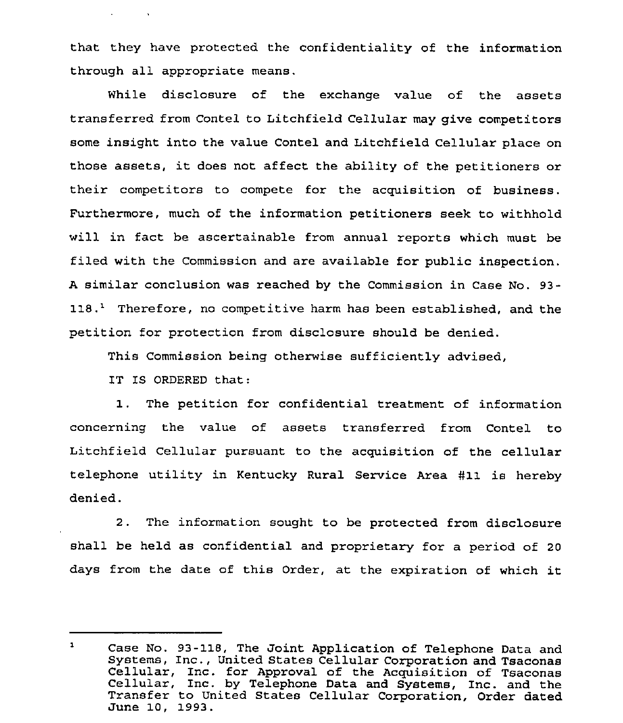that they have protected the confidentiality of the information through all appropriate means.

While disclosure of the exchange value of the assets transferred from Contel to Litchfield Cellular may give competitors some insight into the value Contel and Litchfield Cellular place on those assets, it does not affect the ability of the petitioners or their competitors to compete for the acquisition of business. Furthermore, much of the information petitioners seek to withhold will in fact be ascertainable from annual reports which must be filed with the Commission and are available for public inspection. <sup>A</sup> similar conclusion was reached by the Commission in Case No. 93- 118.<sup>1</sup> Therefore, no competitive harm has been established, and the petition for protection from disclosure should be denied.

This Commission being otherwise sufficiently advised,

IT IS ORDERED that:

 $\mathbf{r} = \mathbf{r} \times \mathbf{r}$  , where  $\mathbf{r}$ 

1. The petition for confidential treatment of information concerning the value of assets transferred from Contel to Litchfield Cellular pursuant to the acquisition of the cellular telephone utility in Kentucky Rural Service Area #11 is hereby denied.

<sup>2</sup> . The information sought to be protected from disclosure shall be held as confidential and proprietary for a period of 20 days from the date of this Order, at the expiration of which it

 $\mathbf{1}$ Case No. 93-118, The Joint Application of Telephone Data and<br>Systems, Inc., United States Cellular Corporation and Tsaconas Cellular, Inc. for Approval of the Acquisition of Tsaconas<br>Cellular, Inc. by Telephone Data and Systems, Inc. and the<br>Transfer to United States Cellular Corporation, Order dated June 10, 1993.